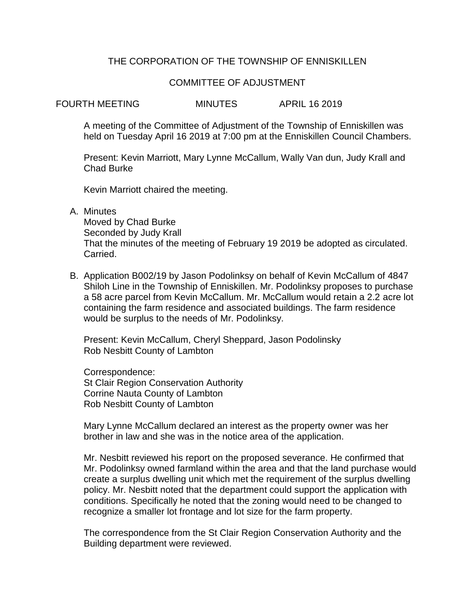## THE CORPORATION OF THE TOWNSHIP OF ENNISKILLEN

#### COMMITTEE OF ADJUSTMENT

FOURTH MEETING MINUTES APRIL 16 2019

A meeting of the Committee of Adjustment of the Township of Enniskillen was held on Tuesday April 16 2019 at 7:00 pm at the Enniskillen Council Chambers.

Present: Kevin Marriott, Mary Lynne McCallum, Wally Van dun, Judy Krall and Chad Burke

Kevin Marriott chaired the meeting.

A. Minutes

Moved by Chad Burke Seconded by Judy Krall That the minutes of the meeting of February 19 2019 be adopted as circulated. Carried.

B. Application B002/19 by Jason Podolinksy on behalf of Kevin McCallum of 4847 Shiloh Line in the Township of Enniskillen. Mr. Podolinksy proposes to purchase a 58 acre parcel from Kevin McCallum. Mr. McCallum would retain a 2.2 acre lot containing the farm residence and associated buildings. The farm residence would be surplus to the needs of Mr. Podolinksy.

Present: Kevin McCallum, Cheryl Sheppard, Jason Podolinsky Rob Nesbitt County of Lambton

Correspondence: St Clair Region Conservation Authority Corrine Nauta County of Lambton Rob Nesbitt County of Lambton

Mary Lynne McCallum declared an interest as the property owner was her brother in law and she was in the notice area of the application.

Mr. Nesbitt reviewed his report on the proposed severance. He confirmed that Mr. Podolinksy owned farmland within the area and that the land purchase would create a surplus dwelling unit which met the requirement of the surplus dwelling policy. Mr. Nesbitt noted that the department could support the application with conditions. Specifically he noted that the zoning would need to be changed to recognize a smaller lot frontage and lot size for the farm property.

The correspondence from the St Clair Region Conservation Authority and the Building department were reviewed.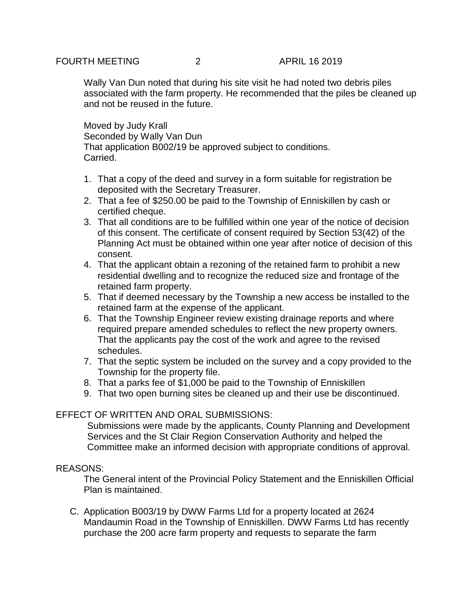# FOURTH MEETING 2 APRIL 16 2019

Wally Van Dun noted that during his site visit he had noted two debris piles associated with the farm property. He recommended that the piles be cleaned up and not be reused in the future.

Moved by Judy Krall Seconded by Wally Van Dun That application B002/19 be approved subject to conditions. Carried.

- 1. That a copy of the deed and survey in a form suitable for registration be deposited with the Secretary Treasurer.
- 2. That a fee of \$250.00 be paid to the Township of Enniskillen by cash or certified cheque.
- 3. That all conditions are to be fulfilled within one year of the notice of decision of this consent. The certificate of consent required by Section 53(42) of the Planning Act must be obtained within one year after notice of decision of this consent.
- 4. That the applicant obtain a rezoning of the retained farm to prohibit a new residential dwelling and to recognize the reduced size and frontage of the retained farm property.
- 5. That if deemed necessary by the Township a new access be installed to the retained farm at the expense of the applicant.
- 6. That the Township Engineer review existing drainage reports and where required prepare amended schedules to reflect the new property owners. That the applicants pay the cost of the work and agree to the revised schedules.
- 7. That the septic system be included on the survey and a copy provided to the Township for the property file.
- 8. That a parks fee of \$1,000 be paid to the Township of Enniskillen
- 9. That two open burning sites be cleaned up and their use be discontinued.

## EFFECT OF WRITTEN AND ORAL SUBMISSIONS:

Submissions were made by the applicants, County Planning and Development Services and the St Clair Region Conservation Authority and helped the Committee make an informed decision with appropriate conditions of approval.

## REASONS:

The General intent of the Provincial Policy Statement and the Enniskillen Official Plan is maintained.

C. Application B003/19 by DWW Farms Ltd for a property located at 2624 Mandaumin Road in the Township of Enniskillen. DWW Farms Ltd has recently purchase the 200 acre farm property and requests to separate the farm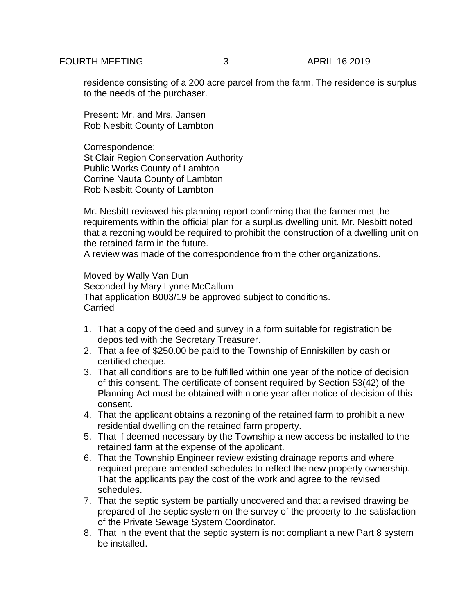residence consisting of a 200 acre parcel from the farm. The residence is surplus to the needs of the purchaser.

Present: Mr. and Mrs. Jansen Rob Nesbitt County of Lambton

Correspondence: St Clair Region Conservation Authority Public Works County of Lambton Corrine Nauta County of Lambton Rob Nesbitt County of Lambton

Mr. Nesbitt reviewed his planning report confirming that the farmer met the requirements within the official plan for a surplus dwelling unit. Mr. Nesbitt noted that a rezoning would be required to prohibit the construction of a dwelling unit on the retained farm in the future.

A review was made of the correspondence from the other organizations.

Moved by Wally Van Dun Seconded by Mary Lynne McCallum That application B003/19 be approved subject to conditions. Carried

- 1. That a copy of the deed and survey in a form suitable for registration be deposited with the Secretary Treasurer.
- 2. That a fee of \$250.00 be paid to the Township of Enniskillen by cash or certified cheque.
- 3. That all conditions are to be fulfilled within one year of the notice of decision of this consent. The certificate of consent required by Section 53(42) of the Planning Act must be obtained within one year after notice of decision of this consent.
- 4. That the applicant obtains a rezoning of the retained farm to prohibit a new residential dwelling on the retained farm property.
- 5. That if deemed necessary by the Township a new access be installed to the retained farm at the expense of the applicant.
- 6. That the Township Engineer review existing drainage reports and where required prepare amended schedules to reflect the new property ownership. That the applicants pay the cost of the work and agree to the revised schedules.
- 7. That the septic system be partially uncovered and that a revised drawing be prepared of the septic system on the survey of the property to the satisfaction of the Private Sewage System Coordinator.
- 8. That in the event that the septic system is not compliant a new Part 8 system be installed.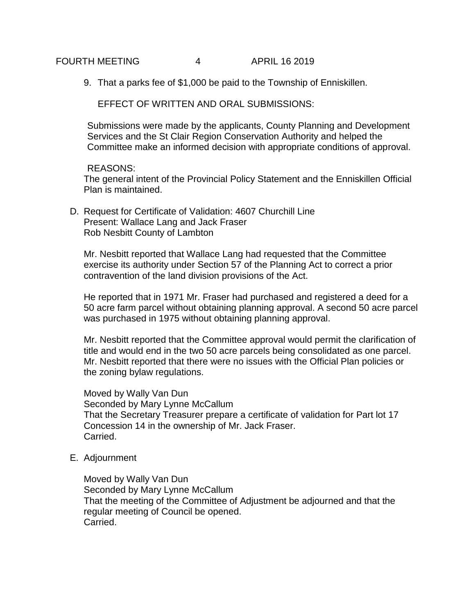FOURTH MEETING 4 APRIL 16 2019

9. That a parks fee of \$1,000 be paid to the Township of Enniskillen.

EFFECT OF WRITTEN AND ORAL SUBMISSIONS:

Submissions were made by the applicants, County Planning and Development Services and the St Clair Region Conservation Authority and helped the Committee make an informed decision with appropriate conditions of approval.

#### REASONS:

The general intent of the Provincial Policy Statement and the Enniskillen Official Plan is maintained.

D. Request for Certificate of Validation: 4607 Churchill Line Present: Wallace Lang and Jack Fraser Rob Nesbitt County of Lambton

Mr. Nesbitt reported that Wallace Lang had requested that the Committee exercise its authority under Section 57 of the Planning Act to correct a prior contravention of the land division provisions of the Act.

He reported that in 1971 Mr. Fraser had purchased and registered a deed for a 50 acre farm parcel without obtaining planning approval. A second 50 acre parcel was purchased in 1975 without obtaining planning approval.

Mr. Nesbitt reported that the Committee approval would permit the clarification of title and would end in the two 50 acre parcels being consolidated as one parcel. Mr. Nesbitt reported that there were no issues with the Official Plan policies or the zoning bylaw regulations.

Moved by Wally Van Dun Seconded by Mary Lynne McCallum That the Secretary Treasurer prepare a certificate of validation for Part lot 17 Concession 14 in the ownership of Mr. Jack Fraser. Carried.

E. Adjournment

Moved by Wally Van Dun Seconded by Mary Lynne McCallum That the meeting of the Committee of Adjustment be adjourned and that the regular meeting of Council be opened. Carried.